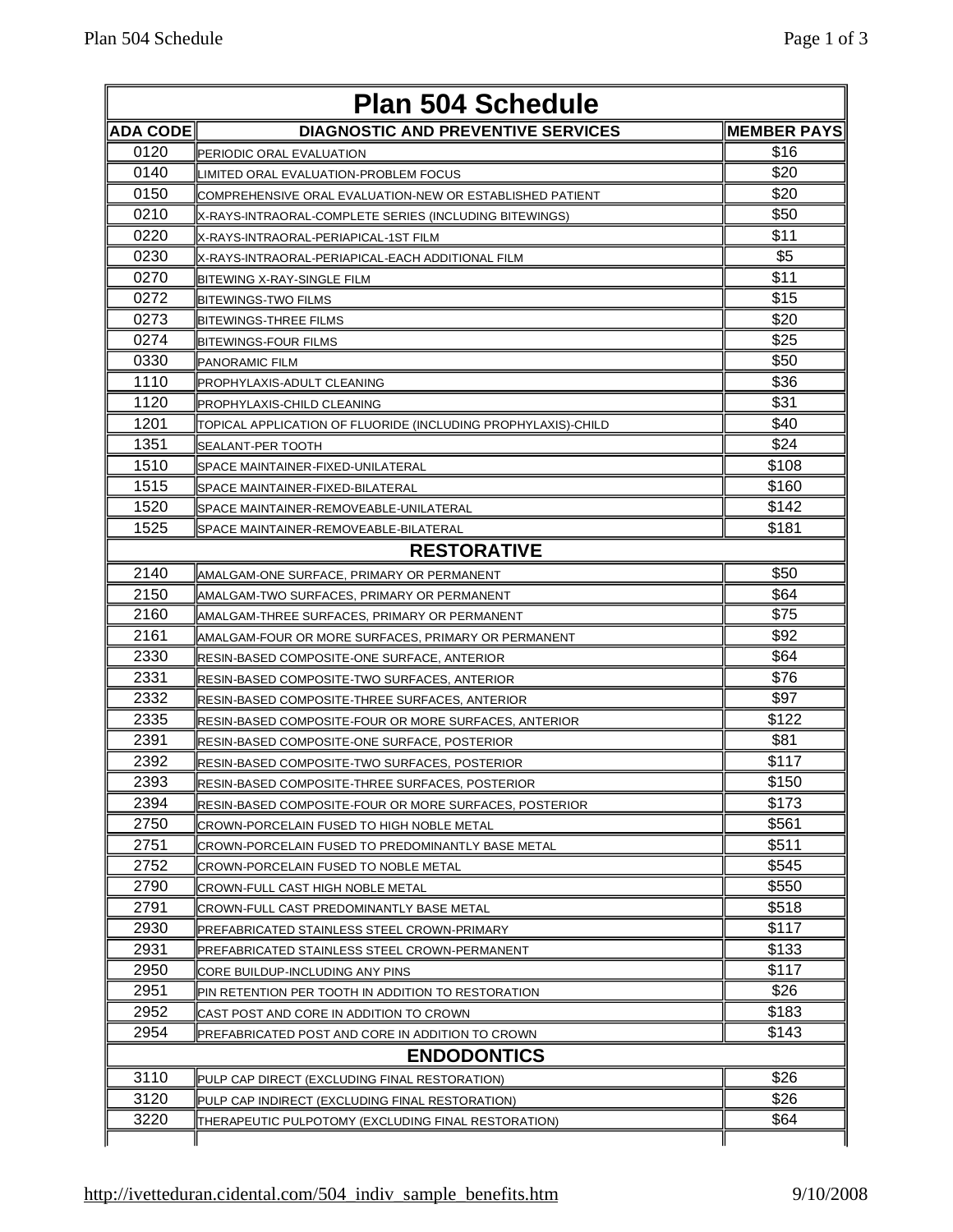| <b>Plan 504 Schedule</b> |                                                                |                    |  |  |
|--------------------------|----------------------------------------------------------------|--------------------|--|--|
| <b>ADA CODE</b>          | <b>DIAGNOSTIC AND PREVENTIVE SERVICES</b>                      | <b>MEMBER PAYS</b> |  |  |
| 0120                     | PERIODIC ORAL EVALUATION                                       | \$16               |  |  |
| 0140                     | LIMITED ORAL EVALUATION-PROBLEM FOCUS                          | \$20               |  |  |
| 0150                     | COMPREHENSIVE ORAL EVALUATION-NEW OR ESTABLISHED PATIENT       | \$20               |  |  |
| 0210                     | (X-RAYS-INTRAORAL-COMPLETE SERIES (INCLUDING BITEWINGS         | \$50               |  |  |
| 0220                     | X-RAYS-INTRAORAL-PERIAPICAL-1ST FILM                           | \$11               |  |  |
| 0230                     | X-RAYS-INTRAORAL-PERIAPICAL-EACH ADDITIONAL FILM               | \$5                |  |  |
| 0270                     | BITEWING X-RAY-SINGLE FILM                                     | \$11               |  |  |
| 0272                     | <b>IBITEWINGS-TWO FILMS</b>                                    | \$15               |  |  |
| 0273                     | BITEWINGS-THREE FILMS                                          | \$20               |  |  |
| 0274                     | BITEWINGS-FOUR FILMS                                           | \$25               |  |  |
| 0330                     | <b>PANORAMIC FILM</b>                                          | \$50               |  |  |
| 1110                     | PROPHYLAXIS-ADULT CLEANING                                     | \$36               |  |  |
| 1120                     | PROPHYLAXIS-CHILD CLEANING                                     | \$31               |  |  |
| 1201                     | ITOPICAL APPLICATION OF FLUORIDE (INCLUDING PROPHYLAXIS)-CHILD | \$40               |  |  |
| 1351                     | <b>ISEALANT-PER TOOTH</b>                                      | \$24               |  |  |
| 1510                     | SPACE MAINTAINER-FIXED-UNILATERAL                              | \$108              |  |  |
| 1515                     | SPACE MAINTAINER-FIXED-BILATERAL                               | \$160              |  |  |
| 1520                     | SPACE MAINTAINER-REMOVEABLE-UNILATERAL                         | \$142              |  |  |
| 1525                     | ISPACE MAINTAINER-REMOVEABLE-BILATERAL                         | \$181              |  |  |
|                          | <b>RESTORATIVE</b>                                             |                    |  |  |
| 2140                     | AMALGAM-ONE SURFACE, PRIMARY OR PERMANENT                      | \$50               |  |  |
| 2150                     | AMALGAM-TWO SURFACES, PRIMARY OR PERMANENT                     | \$64               |  |  |
| 2160                     | AMALGAM-THREE SURFACES, PRIMARY OR PERMANENT                   | \$75               |  |  |
| 2161                     | AMALGAM-FOUR OR MORE SURFACES, PRIMARY OR PERMANENT            | \$92               |  |  |
| 2330                     | RESIN-BASED COMPOSITE-ONE SURFACE, ANTERIOR                    | \$64               |  |  |
| 2331                     | RESIN-BASED COMPOSITE-TWO SURFACES, ANTERIOR                   | \$76               |  |  |
| 2332                     | lRESIN-BASED COMPOSITE-THREE SURFACES. ANTERIOR                | \$97               |  |  |
| 2335                     | <b>RESIN-BASED COMPOSITE-FOUR OR MORE SURFACES, ANTERIOR</b>   | \$122              |  |  |
| 2391                     | IRESIN-BASED COMPOSITE-ONE SURFACE, POSTERIOR                  | \$81               |  |  |
| 2392                     | RESIN-BASED COMPOSITE-TWO SURFACES, POSTERIOR                  | \$117              |  |  |
| 2393                     | RESIN-BASED COMPOSITE-THREE SURFACES, POSTERIOR                | \$150              |  |  |
| 2394                     | <b>IRESIN-BASED COMPOSITE-FOUR OR MORE SURFACES, POSTERIOR</b> | \$173              |  |  |
| 2750                     | CROWN-PORCELAIN FUSED TO HIGH NOBLE METAL                      | \$561              |  |  |
| 2751                     | CROWN-PORCELAIN FUSED TO PREDOMINANTLY BASE METAL              | \$511              |  |  |
| 2752                     | CROWN-PORCELAIN FUSED TO NOBLE METAL                           | \$545              |  |  |
| 2790                     | CROWN-FULL CAST HIGH NOBLE METAL                               | \$550              |  |  |
| 2791                     | CROWN-FULL CAST PREDOMINANTLY BASE METAL                       | \$518              |  |  |
| 2930                     | PREFABRICATED STAINLESS STEEL CROWN-PRIMARY                    | \$117              |  |  |
| 2931                     | PREFABRICATED STAINLESS STEEL CROWN-PERMANENT                  | \$133              |  |  |
| 2950                     | CORE BUILDUP-INCLUDING ANY PINS                                | \$117              |  |  |
| 2951                     | PIN RETENTION PER TOOTH IN ADDITION TO RESTORATION             | \$26               |  |  |
| 2952                     | CAST POST AND CORE IN ADDITION TO CROWN                        | \$183              |  |  |
| 2954                     | PREFABRICATED POST AND CORE IN ADDITION TO CROWN               | \$143              |  |  |
|                          | <b>ENDODONTICS</b>                                             |                    |  |  |
| 3110                     | PULP CAP DIRECT (EXCLUDING FINAL RESTORATION)                  | \$26               |  |  |
| 3120                     | PULP CAP INDIRECT (EXCLUDING FINAL RESTORATION)                | \$26               |  |  |
| 3220                     | (THERAPEUTIC PULPOTOMY (EXCLUDING FINAL RESTORATION            | \$64               |  |  |
|                          |                                                                |                    |  |  |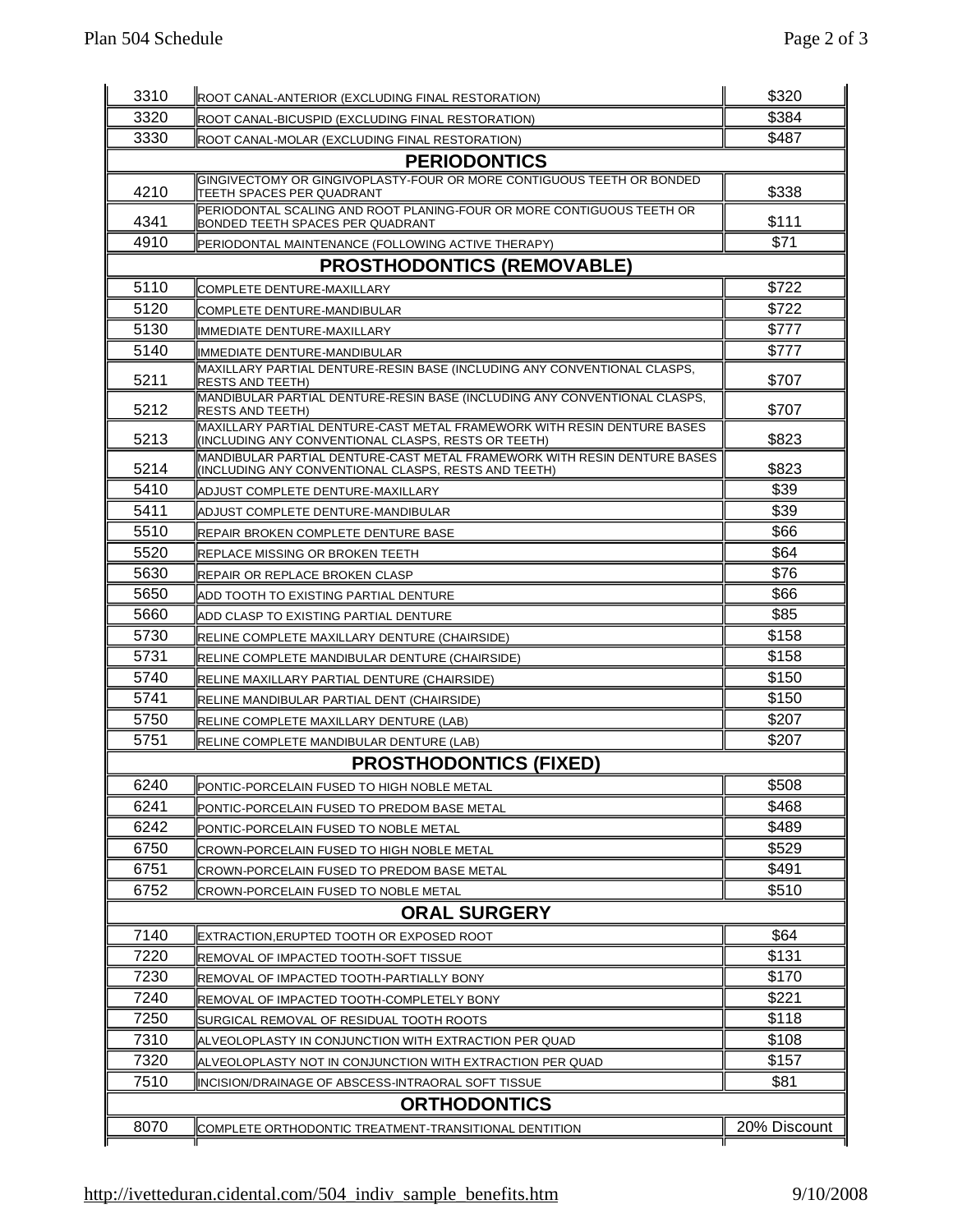| 3310         | ROOT CANAL-ANTERIOR (EXCLUDING FINAL RESTORATION)                                                                                | \$320          |
|--------------|----------------------------------------------------------------------------------------------------------------------------------|----------------|
| 3320         | ROOT CANAL-BICUSPID (EXCLUDING FINAL RESTORATION)                                                                                | \$384          |
| 3330         | ROOT CANAL-MOLAR (EXCLUDING FINAL RESTORATION)                                                                                   | \$487          |
|              | <b>PERIODONTICS</b>                                                                                                              |                |
| 4210         | GINGIVECTOMY OR GINGIVOPLASTY-FOUR OR MORE CONTIGUOUS TEETH OR BONDED<br>ITEETH SPACES PER QUADRANT                              | \$338          |
| 4341         | PERIODONTAL SCALING AND ROOT PLANING-FOUR OR MORE CONTIGUOUS TEETH OR<br>BONDED TEETH SPACES PER QUADRANT                        | \$111          |
| 4910         | PERIODONTAL MAINTENANCE (FOLLOWING ACTIVE THERAPY)                                                                               | \$71           |
|              | <b>PROSTHODONTICS (REMOVABLE)</b>                                                                                                |                |
| 5110         | COMPLETE DENTURE-MAXILLARY                                                                                                       | \$722          |
| 5120         | COMPLETE DENTURE-MANDIBULAR                                                                                                      | \$722          |
| 5130         | IMMEDIATE DENTURE-MAXILLARY                                                                                                      | \$777          |
| 5140         | IMMEDIATE DENTURE-MANDIBULAR                                                                                                     | \$777          |
| 5211         | MAXILLARY PARTIAL DENTURE-RESIN BASE (INCLUDING ANY CONVENTIONAL CLASPS,<br><b>RESTS AND TEETH)</b>                              | \$707          |
| 5212         | MANDIBULAR PARTIAL DENTURE-RESIN BASE (INCLUDING ANY CONVENTIONAL CLASPS,<br><b>RESTS AND TEETH)</b>                             | \$707          |
| 5213         | MAXILLARY PARTIAL DENTURE-CAST METAL FRAMEWORK WITH RESIN DENTURE BASES<br>(INCLUDING ANY CONVENTIONAL CLASPS, RESTS OR TEETH)   | \$823          |
| 5214         | MANDIBULAR PARTIAL DENTURE-CAST METAL FRAMEWORK WITH RESIN DENTURE BASES<br>(INCLUDING ANY CONVENTIONAL CLASPS, RESTS AND TEETH) | \$823          |
| 5410         | ADJUST COMPLETE DENTURE-MAXILLARY                                                                                                | \$39           |
| 5411         | <b>IADJUST COMPLETE DENTURE-MANDIBULAR</b>                                                                                       | \$39           |
| 5510         | REPAIR BROKEN COMPLETE DENTURE BASE                                                                                              | \$66           |
| 5520         | REPLACE MISSING OR BROKEN TEETH                                                                                                  | \$64           |
| 5630         | <b>REPAIR OR REPLACE BROKEN CLASP</b>                                                                                            | \$76           |
| 5650         | ADD TOOTH TO EXISTING PARTIAL DENTURE                                                                                            | \$66           |
| 5660         | ADD CLASP TO EXISTING PARTIAL DENTURE                                                                                            | \$85           |
| 5730         | RELINE COMPLETE MAXILLARY DENTURE (CHAIRSIDE)                                                                                    | \$158          |
| 5731         |                                                                                                                                  | \$158          |
| 5740         | RELINE COMPLETE MANDIBULAR DENTURE (CHAIRSIDE)                                                                                   | \$150          |
| 5741         | RELINE MAXILLARY PARTIAL DENTURE (CHAIRSIDE)<br>RELINE MANDIBULAR PARTIAL DENT (CHAIRSIDE)                                       | \$150          |
| 5750         | RELINE COMPLETE MAXILLARY DENTURE (LAB)                                                                                          | \$207          |
| 5751         | RELINE COMPLETE MANDIBULAR DENTURE (LAB)                                                                                         | \$207          |
|              | <b>PROSTHODONTICS (FIXED)</b>                                                                                                    |                |
| 6240         | 10                                                                                                                               | \$508          |
| 6241         | PONTIC-PORCELAIN FUSED TO HIGH NOBLE METAL                                                                                       | \$468          |
|              | PONTIC-PORCELAIN FUSED TO PREDOM BASE METAL                                                                                      |                |
| 6242         | PONTIC-PORCELAIN FUSED TO NOBLE METAL                                                                                            | \$489          |
| 6750<br>6751 | CROWN-PORCELAIN FUSED TO HIGH NOBLE METAL                                                                                        | \$529<br>\$491 |
|              | CROWN-PORCELAIN FUSED TO PREDOM BASE METAL                                                                                       |                |
| 6752         | CROWN-PORCELAIN FUSED TO NOBLE METAL                                                                                             | \$510          |
|              | <b>ORAL SURGERY</b>                                                                                                              |                |
| 7140         | IEXTRACTION.ERUPTED TOOTH OR EXPOSED ROOT                                                                                        | \$64           |
| 7220         | IREMOVAL OF IMPACTED TOOTH-SOFT TISSUE                                                                                           | \$131          |
| 7230         | REMOVAL OF IMPACTED TOOTH-PARTIALLY BONY                                                                                         | \$170          |
| 7240         | REMOVAL OF IMPACTED TOOTH-COMPLETELY BONY                                                                                        | \$221          |
| 7250         | SURGICAL REMOVAL OF RESIDUAL TOOTH ROOTS                                                                                         | \$118          |
| 7310         | ALVEOLOPLASTY IN CONJUNCTION WITH EXTRACTION PER QUAD                                                                            | \$108          |
| 7320         | ALVEOLOPLASTY NOT IN CONJUNCTION WITH EXTRACTION PER QUAD                                                                        | \$157          |
| 7510         | INCISION/DRAINAGE OF ABSCESS-INTRAORAL SOFT TISSUE                                                                               | \$81           |
|              | <b>ORTHODONTICS</b>                                                                                                              |                |
| 8070         | COMPLETE ORTHODONTIC TREATMENT-TRANSITIONAL DENTITION                                                                            | 20% Discount   |